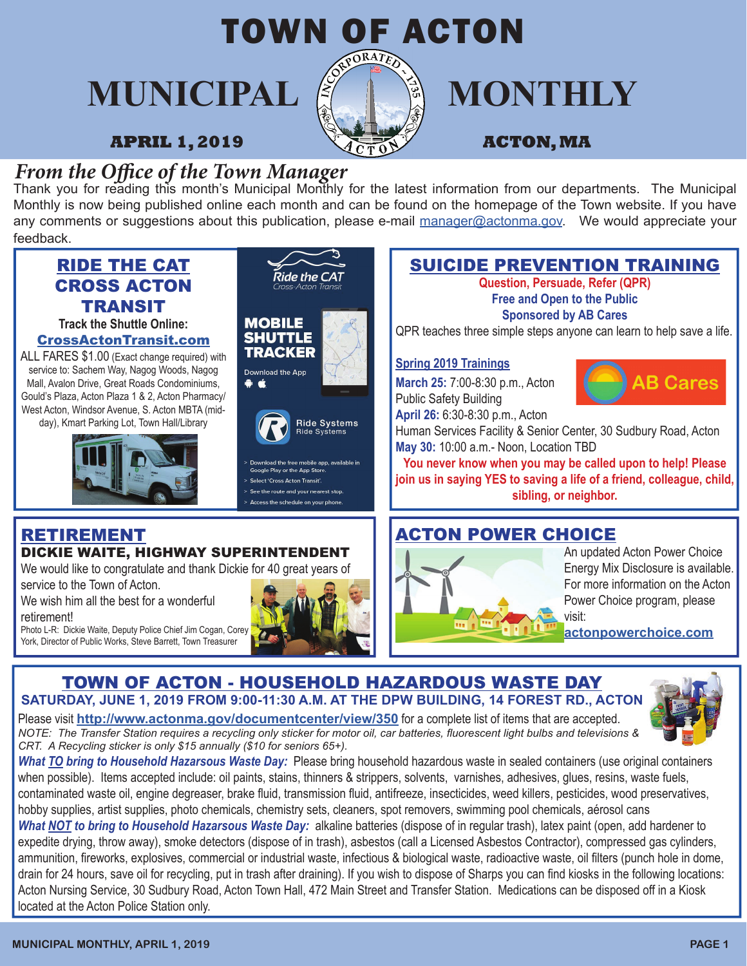

# **MUNICIPAL E IN MONTHLY**

*From the Office of the Town Manager*<br>Thank you for reading this month's Municipal Monthly for the latest information from our departments. The Municipal Monthly is now being published online each month and can be found on the homepage of the Town website. If you have any comments or suggestions about this publication, please e-mail manager@actonma.gov. We would appreciate your feedback.



*CRT. A Recycling sticker is only \$15 annually (\$10 for seniors 65+).*

*What TO bring to Household Hazarsous Waste Day:* Please bring household hazardous waste in sealed containers (use original containers when possible). Items accepted include: oil paints, stains, thinners & strippers, solvents, varnishes, adhesives, glues, resins, waste fuels, contaminated waste oil, engine degreaser, brake fluid, transmission fluid, antifreeze, insecticides, weed killers, pesticides, wood preservatives, hobby supplies, artist supplies, photo chemicals, chemistry sets, cleaners, spot removers, swimming pool chemicals, aérosol cans

*What NOT to bring to Household Hazarsous Waste Day:* alkaline batteries (dispose of in regular trash), latex paint (open, add hardener to expedite drying, throw away), smoke detectors (dispose of in trash), asbestos (call a Licensed Asbestos Contractor), compressed gas cylinders, ammunition, fireworks, explosives, commercial or industrial waste, infectious & biological waste, radioactive waste, oil filters (punch hole in dome, drain for 24 hours, save oil for recycling, put in trash after draining). If you wish to dispose of Sharps you can find kiosks in the following locations: Acton Nursing Service, 30 Sudbury Road, Acton Town Hall, 472 Main Street and Transfer Station. Medications can be disposed off in a Kiosk located at the Acton Police Station only.